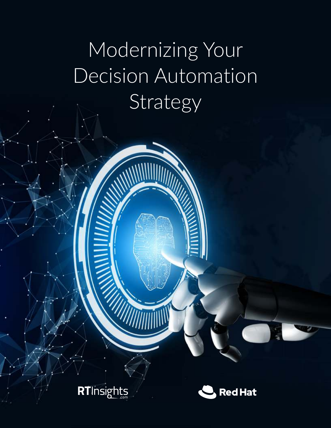# Modernizing Your Decision Automation **Strategy**

**RTInsights** 

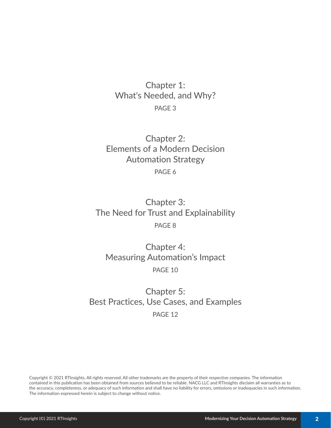# Chapter 1: What's Needed, and Why? PAGE 3

Chapter 2: Elements of a Modern Decision Automation Strategy PAGE 6

Chapter 3: The Need for Trust and Explainability PAGE 8

Chapter 4: Measuring Automation's Impact PAGE 10

Chapter 5: Best Practices, Use Cases, and Examples PAGE 12

Copyright © 2021 RTInsights. All rights reserved. All other trademarks are the property of their respective companies. The information contained in this publication has been obtained from sources believed to be reliable. NACG LLC and RTInsights disclaim all warranties as to the accuracy, completeness, or adequacy of such information and shall have no liability for errors, omissions or inadequacies in such information. The information expressed herein is subject to change without notice.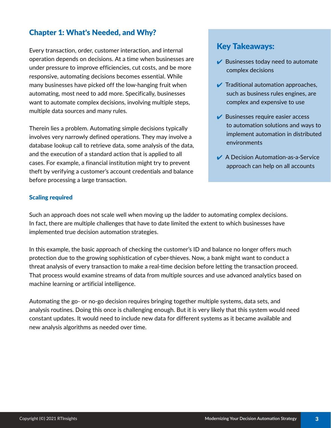## Chapter 1: What's Needed, and Why?

Every transaction, order, customer interaction, and internal operation depends on decisions. At a time when businesses are under pressure to improve efficiencies, cut costs, and be more responsive, automating decisions becomes essential. While many businesses have picked off the low-hanging fruit when automating, most need to add more. Specifically, businesses want to automate complex decisions, involving multiple steps, multiple data sources and many rules.

Therein lies a problem. Automating simple decisions typically involves very narrowly defined operations. They may involve a database lookup call to retrieve data, some analysis of the data, and the execution of a standard action that is applied to all cases. For example, a financial institution might try to prevent theft by verifying a customer's account credentials and balance before processing a large transaction.

# Key Takeaways:

- $\blacktriangleright$  Businesses today need to automate complex decisions
- $\sqrt{\ }$  Traditional automation approaches, such as business rules engines, are complex and expensive to use
- $\blacktriangleright$  Businesses require easier access to automation solutions and ways to implement automation in distributed environments
- **▲ A Decision Automation-as-a-Service** approach can help on all accounts

## Scaling required

Such an approach does not scale well when moving up the ladder to automating complex decisions. In fact, there are multiple challenges that have to date limited the extent to which businesses have implemented true decision automation strategies.

In this example, the basic approach of checking the customer's ID and balance no longer offers much protection due to the growing sophistication of cyber-thieves. Now, a bank might want to conduct a threat analysis of every transaction to make a real-time decision before letting the transaction proceed. That process would examine streams of data from multiple sources and use advanced analytics based on machine learning or artificial intelligence.

Automating the go- or no-go decision requires bringing together multiple systems, data sets, and analysis routines. Doing this once is challenging enough. But it is very likely that this system would need constant updates. It would need to include new data for different systems as it became available and new analysis algorithms as needed over time.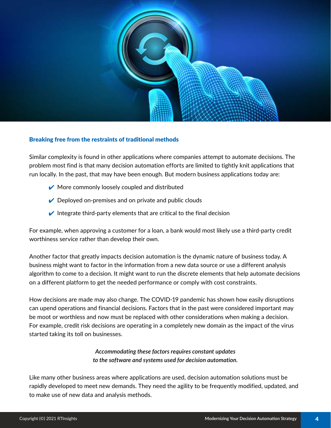

#### Breaking free from the restraints of traditional methods

Similar complexity is found in other applications where companies attempt to automate decisions. The problem most find is that many decision automation efforts are limited to tightly knit applications that run locally. In the past, that may have been enough. But modern business applications today are:

- $\vee$  More commonly loosely coupled and distributed
- $\vee$  Deployed on-premises and on private and public clouds
- $\vee$  Integrate third-party elements that are critical to the final decision

For example, when approving a customer for a loan, a bank would most likely use a third-party credit worthiness service rather than develop their own.

Another factor that greatly impacts decision automation is the dynamic nature of business today. A business might want to factor in the information from a new data source or use a different analysis algorithm to come to a decision. It might want to run the discrete elements that help automate decisions on a different platform to get the needed performance or comply with cost constraints.

How decisions are made may also change. The COVID-19 pandemic has shown how easily disruptions can upend operations and financial decisions. Factors that in the past were considered important may be moot or worthless and now must be replaced with other considerations when making a decision. For example, credit risk decisions are operating in a completely new domain as the impact of the virus started taking its toll on businesses.

## *Accommodating these factors requires constant updates to the software and systems used for decision automation.*

Like many other business areas where applications are used, decision automation solutions must be rapidly developed to meet new demands. They need the agility to be frequently modified, updated, and to make use of new data and analysis methods.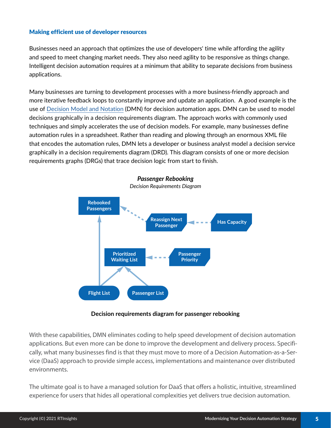## Making efficient use of developer resources

Businesses need an approach that optimizes the use of developers' time while affording the agility and speed to meet changing market needs. They also need agility to be responsive as things change. Intelligent decision automation requires at a minimum that ability to separate decisions from business applications.

Many businesses are turning to development processes with a more business-friendly approach and more iterative feedback loops to constantly improve and update an application. A good example is the use of [Decision Model and Notation](https://www.omg.org/dmn/) (DMN) for decision automation apps. DMN can be used to model decisions graphically in a decision requirements diagram. The approach works with commonly used techniques and simply accelerates the use of decision models. For example, many businesses define automation rules in a spreadsheet. Rather than reading and plowing through an enormous XML file that encodes the automation rules, DMN lets a developer or business analyst model a decision service graphically in a decision requirements diagram (DRD). This diagram consists of one or more decision requirements graphs (DRGs) that trace decision logic from start to finish.



## **Decision requirements diagram for passenger rebooking**

With these capabilities, DMN eliminates coding to help speed development of decision automation applications. But even more can be done to improve the development and delivery process. Specifically, what many businesses find is that they must move to more of a Decision Automation-as-a-Service (DaaS) approach to provide simple access, implementations and maintenance over distributed environments.

The ultimate goal is to have a managed solution for DaaS that offers a holistic, intuitive, streamlined experience for users that hides all operational complexities yet delivers true decision automation.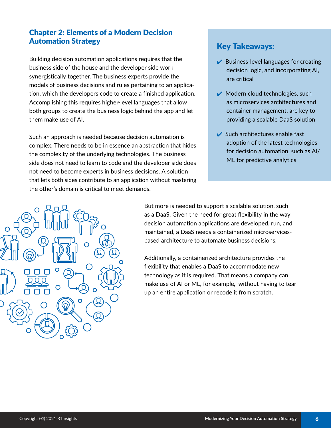## Chapter 2: Elements of a Modern Decision Automation Strategy

Building decision automation applications requires that the business side of the house and the developer side work synergistically together. The business experts provide the models of business decisions and rules pertaining to an application, which the developers code to create a finished application. Accomplishing this requires higher-level languages that allow both groups to create the business logic behind the app and let them make use of AI.

Such an approach is needed because decision automation is complex. There needs to be in essence an abstraction that hides the complexity of the underlying technologies. The business side does not need to learn to code and the developer side does not need to become experts in business decisions. A solution that lets both sides contribute to an application without mastering the other's domain is critical to meet demands.

## Key Takeaways:

- $\vee$  Business-level languages for creating decision logic, and incorporating AI, are critical
- $\vee$  Modern cloud technologies, such as microservices architectures and container management, are key to providing a scalable DaaS solution
- $\blacktriangleright$  Such architectures enable fast adoption of the latest technologies for decision automation, such as AI/ ML for predictive analytics



But more is needed to support a scalable solution, such as a DaaS. Given the need for great flexibility in the way decision automation applications are developed, run, and maintained, a DaaS needs a containerized microservicesbased architecture to automate business decisions.

Additionally, a containerized architecture provides the flexibility that enables a DaaS to accommodate new technology as it is required. That means a company can make use of AI or ML, for example, without having to tear up an entire application or recode it from scratch.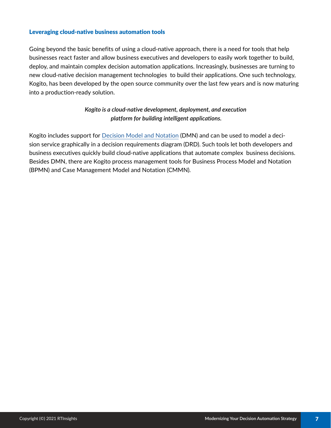## Leveraging cloud-native business automation tools

Going beyond the basic benefits of using a cloud-native approach, there is a need for tools that help businesses react faster and allow business executives and developers to easily work together to build, deploy, and maintain complex decision automation applications. Increasingly, businesses are turning to new cloud-native decision management technologies to build their applications. One such technology, Kogito, has been developed by the open source community over the last few years and is now maturing into a production-ready solution.

## *Kogito is a cloud-native development, deployment, and execution platform for building intelligent applications.*

Kogito includes support for [Decision Model and Notation](https://www.omg.org/dmn/) (DMN) and can be used to model a decision service graphically in a decision requirements diagram (DRD). Such tools let both developers and business executives quickly build cloud-native applications that automate complex business decisions. Besides DMN, there are Kogito process management tools for Business Process Model and Notation (BPMN) and Case Management Model and Notation (CMMN).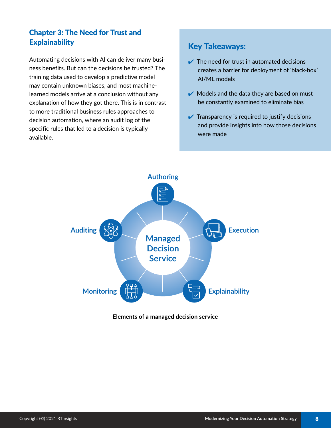# Chapter 3: The Need for Trust and **Explainability**

Automating decisions with AI can deliver many business benefits. But can the decisions be trusted? The training data used to develop a predictive model may contain unknown biases, and most machinelearned models arrive at a conclusion without any explanation of how they got there. This is in contrast to more traditional business rules approaches to decision automation, where an audit log of the specific rules that led to a decision is typically available.

# Key Takeaways:

- $\vee$  The need for trust in automated decisions creates a barrier for deployment of 'black-box' AI/ML models
- $\blacktriangleright$  Models and the data they are based on must be constantly examined to eliminate bias
- $\vee$  Transparency is required to justify decisions and provide insights into how those decisions were made



## **Elements of a managed decision service**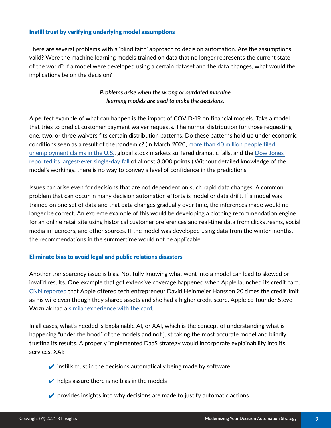## Instill trust by verifying underlying model assumptions

There are several problems with a 'blind faith' approach to decision automation. Are the assumptions valid? Were the machine learning models trained on data that no longer represents the current state of the world? If a model were developed using a certain dataset and the data changes, what would the implications be on the decision?

## *Problems arise when the wrong or outdated machine learning models are used to make the decisions.*

A perfect example of what can happen is the impact of COVID-19 on financial models. Take a model that tries to predict customer payment waiver requests. The normal distribution for those requesting one, two, or three waivers fits certain distribution patterns. Do these patterns hold up under economic conditions seen as a result of the pandemic? (In March 2020, [more than 40 million people filed](https://www.nytimes.com/2020/05/28/business/economy/coronavirus-unemployment-claims.html)  [unemployment claims in the U.S.,](https://www.nytimes.com/2020/05/28/business/economy/coronavirus-unemployment-claims.html) global stock markets suffered dramatic falls, and the [Dow Jones](https://www.statista.com/statistics/1104278/weekly-performance-of-djia-index/)  [reported its largest-ever single-day fall](https://www.statista.com/statistics/1104278/weekly-performance-of-djia-index/) of almost 3,000 points.) Without detailed knowledge of the model's workings, there is no way to convey a level of confidence in the predictions.

Issues can arise even for decisions that are not dependent on such rapid data changes. A common problem that can occur in many decision automation efforts is model or data drift. If a model was trained on one set of data and that data changes gradually over time, the inferences made would no longer be correct. An extreme example of this would be developing a clothing recommendation engine for an online retail site using historical customer preferences and real-time data from clickstreams, social media influencers, and other sources. If the model was developed using data from the winter months, the recommendations in the summertime would not be applicable.

#### Eliminate bias to avoid legal and public relations disasters

Another transparency issue is bias. Not fully knowing what went into a model can lead to skewed or invalid results. One example that got extensive coverage happened when Apple launched its credit card. [CNN reported](https://www.cnn.com/2019/11/10/business/goldman-sachs-apple-card-discrimination/index.html) that Apple offered tech entrepreneur David Heinmeier Hansson 20 times the credit limit as his wife even though they shared assets and she had a higher credit score. Apple co-founder Steve Wozniak had a [similar experience with the card](https://www.bloomberg.com/news/articles/2019-11-11/apple-card-s-ai-stumble-looks-familiar-to-old-school-banks).

In all cases, what's needed is Explainable AI, or XAI, which is the concept of understanding what is happening "under the hood" of the models and not just taking the most accurate model and blindly trusting its results. A properly implemented DaaS strategy would incorporate explainability into its services. XAI:

- $\triangleright$  instills trust in the decisions automatically being made by software
- $\triangleright$  helps assure there is no bias in the models
- $\triangleright$  provides insights into why decisions are made to justify automatic actions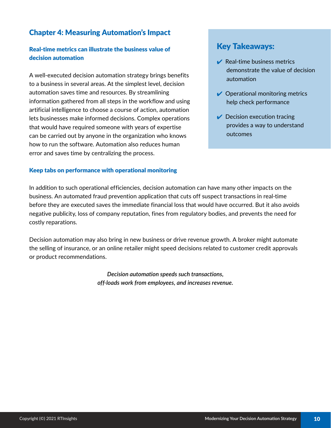## Chapter 4: Measuring Automation's Impact

## Real-time metrics can illustrate the business value of decision automation

A well-executed decision automation strategy brings benefits to a business in several areas. At the simplest level, decision automation saves time and resources. By streamlining information gathered from all steps in the workflow and using artificial intelligence to choose a course of action, automation lets businesses make informed decisions. Complex operations that would have required someone with years of expertise can be carried out by anyone in the organization who knows how to run the software. Automation also reduces human error and saves time by centralizing the process.

## Keep tabs on performance with operational monitoring

## Key Takeaways:

- $\blacktriangleright$  Real-time business metrics demonstrate the value of decision automation
- $\vee$  Operational monitoring metrics help check performance
- $\sqrt{\phantom{a}}$  Decision execution tracing provides a way to understand outcomes

In addition to such operational efficiencies, decision automation can have many other impacts on the business. An automated fraud prevention application that cuts off suspect transactions in real-time before they are executed saves the immediate financial loss that would have occurred. But it also avoids negative publicity, loss of company reputation, fines from regulatory bodies, and prevents the need for costly reparations.

Decision automation may also bring in new business or drive revenue growth. A broker might automate the selling of insurance, or an online retailer might speed decisions related to customer credit approvals or product recommendations.

> *Decision automation speeds such transactions, off-loads work from employees, and increases revenue.*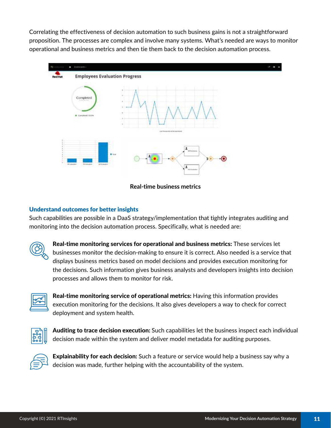Correlating the effectiveness of decision automation to such business gains is not a straightforward proposition. The processes are complex and involve many systems. What's needed are ways to monitor operational and business metrics and then tie them back to the decision automation process.



**Real-time business metrics**

## Understand outcomes for better insights

Such capabilities are possible in a DaaS strategy/implementation that tightly integrates auditing and monitoring into the decision automation process. Specifically, what is needed are:



Real-time monitoring services for operational and business metrics: These services let businesses monitor the decision-making to ensure it is correct. Also needed is a service that displays business metrics based on model decisions and provides execution monitoring for the decisions. Such information gives business analysts and developers insights into decision processes and allows them to monitor for risk.



Real-time monitoring service of operational metrics: Having this information provides execution monitoring for the decisions. It also gives developers a way to check for correct deployment and system health.



Auditing to trace decision execution: Such capabilities let the business inspect each individual decision made within the system and deliver model metadata for auditing purposes.



Explainability for each decision: Such a feature or service would help a business say why a decision was made, further helping with the accountability of the system.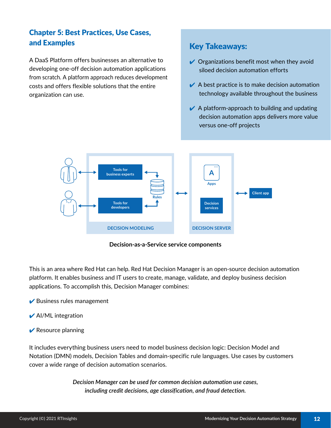# Chapter 5: Best Practices, Use Cases, and Examples

A DaaS Platform offers businesses an alternative to developing one-off decision automation applications from scratch. A platform approach reduces development costs and offers flexible solutions that the entire organization can use.

# Key Takeaways:

- $\vee$  Organizations benefit most when they avoid siloed decision automation efforts
- $\blacktriangleright$  A best practice is to make decision automation technology available throughout the business
- $\vee$  A platform-approach to building and updating decision automation apps delivers more value versus one-off projects



**Decision-as-a-Service service components**

This is an area where Red Hat can help. Red Hat Decision Manager is an open-source decision automation platform. It enables business and IT users to create, manage, validate, and deploy business decision applications. To accomplish this, Decision Manager combines:

- $\blacktriangleright$  Business rules management
- $\blacktriangleright$  Al/ML integration
- $\blacktriangleright$  Resource planning

It includes everything business users need to model business decision logic: Decision Model and Notation (DMN) models, Decision Tables and domain-specific rule languages. Use cases by customers cover a wide range of decision automation scenarios.

> *Decision Manager can be used for common decision automation use cases, including credit decisions, age classification, and fraud detection.*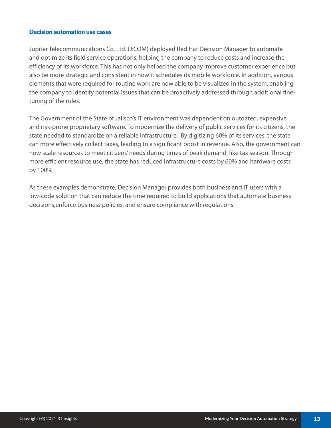#### Decision automation use cases

Jupiter Telecommunications Co, Ltd. (J:COM) deployed Red Hat Decision Manager to automate and optimize its field service operations, helping the company to reduce costs and increase the efficiency of its workforce. This has not only helped the company improve customer experience but also be more strategic and consistent in how it schedules its mobile workforce. In addition, various elements that were required for routine work are now able to be visualized in the system, enabling the company to identify potential issues that can be proactively addressed through additional finetuning of the rules.

The Government of the State of Jalisco's IT environment was dependent on outdated, expensive, and risk-prone proprietary software. To modernize the delivery of public services for its citizens, the state needed to standardize on a reliable infrastructure. By digitizing 60% of its services, the state can more effectively collect taxes, leading to a significant boost in revenue. Also, the government can now scale resources to meet citizens' needs during times of peak demand, like tax season. Through more efficient resource use, the state has reduced infrastructure costs by 60% and hardware costs by 100%.

As these examples demonstrate, Decision Manager provides both business and IT users with a low-code solution that can reduce the time required to build applications that automate business decisions,enforce business policies, and ensure compliance with regulations.